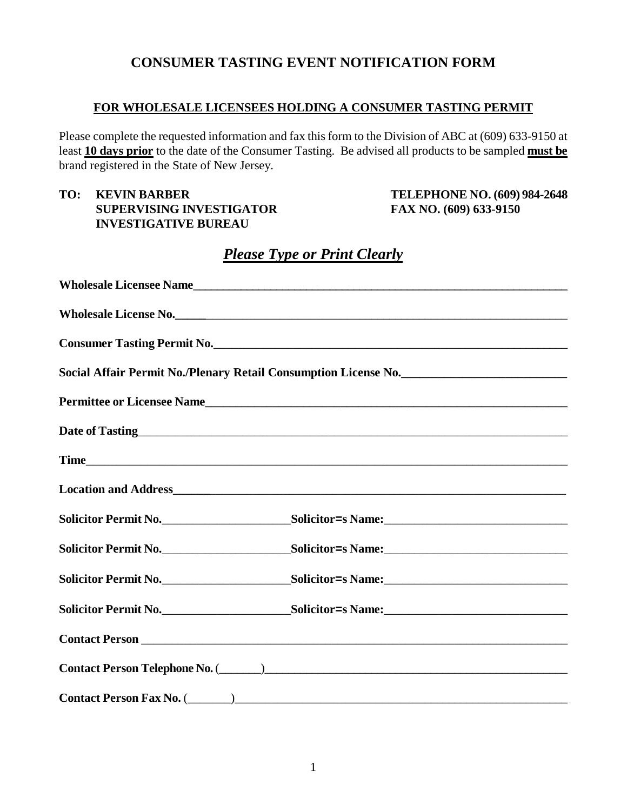### **CONSUMER TASTING EVENT NOTIFICATION FORM**

#### **FOR WHOLESALE LICENSEES HOLDING A CONSUMER TASTING PERMIT**

Please complete the requested information and fax this form to the Division of ABC at (609) 633-9150 at least **10 days prior** to the date of the Consumer Tasting. Be advised all products to be sampled **must be** brand registered in the State of New Jersey.

### **TO: KEVIN BARBER TELEPHONE NO. (609) 984-2648 SUPERVISING INVESTIGATOR FAX NO. (609) 633-9150 INVESTIGATIVE BUREAU**

## *Please Type or Print Clearly*

|  | Wholesale Licensee Name                                                                                                                                                                                                        |  |
|--|--------------------------------------------------------------------------------------------------------------------------------------------------------------------------------------------------------------------------------|--|
|  | Wholesale License No.                                                                                                                                                                                                          |  |
|  |                                                                                                                                                                                                                                |  |
|  |                                                                                                                                                                                                                                |  |
|  |                                                                                                                                                                                                                                |  |
|  |                                                                                                                                                                                                                                |  |
|  |                                                                                                                                                                                                                                |  |
|  |                                                                                                                                                                                                                                |  |
|  | Solicitor Permit No. ____________________________Solicitor=s Name: _________________________________                                                                                                                           |  |
|  | Solicitor Permit No. ___________________________Solicitor=s Name: __________________________________                                                                                                                           |  |
|  | Solicitor Permit No. ___________________________Solicitor=s Name: __________________________________                                                                                                                           |  |
|  | Solicitor Permit No. ___________________________Solicitor=s Name: __________________________________                                                                                                                           |  |
|  | Contact Person experience of the set of the set of the set of the set of the set of the set of the set of the set of the set of the set of the set of the set of the set of the set of the set of the set of the set of the se |  |
|  |                                                                                                                                                                                                                                |  |
|  |                                                                                                                                                                                                                                |  |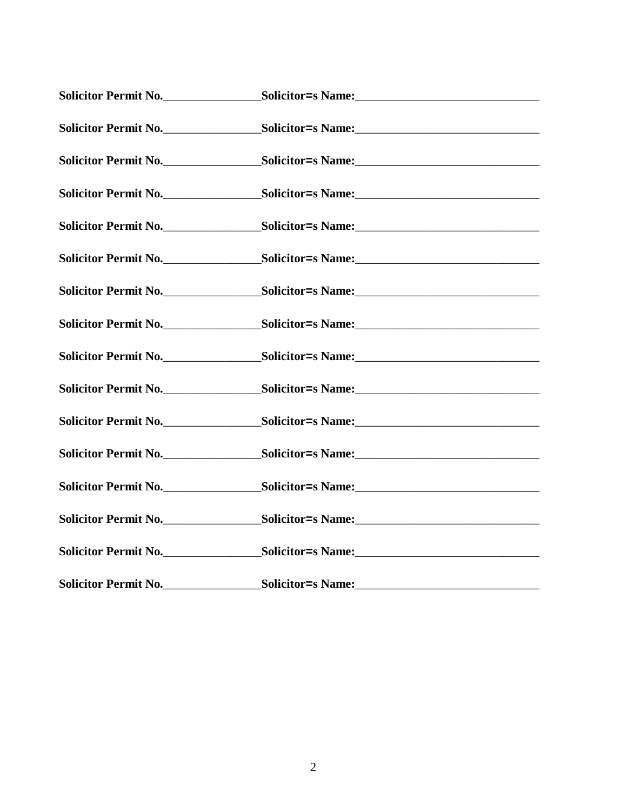| Solicitor Permit No. |                   |
|----------------------|-------------------|
|                      |                   |
|                      |                   |
|                      |                   |
|                      |                   |
|                      |                   |
|                      |                   |
|                      |                   |
|                      |                   |
|                      |                   |
|                      |                   |
|                      |                   |
|                      |                   |
| Solicitor Permit No. | Solicitor=s Name: |
|                      |                   |
|                      |                   |